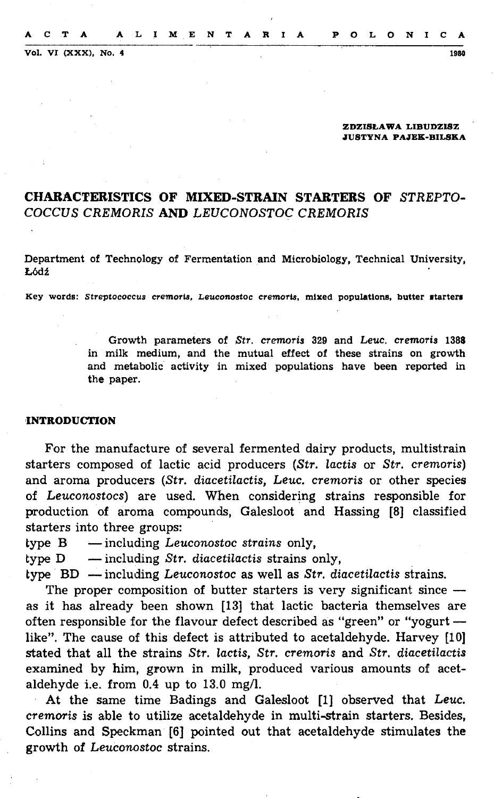Vol. VI (XXX), No. 4 1980

#### **ZDZISt.AWA LIBUDZISZ JUSTYNA PAJEK-BILSKA**

# **CHARACTERISTICS OF MIXED-STRAIN STARTERS OF** *STREPTO-COCCUS CREMORIS* **AND** *LEUCONOSTOC CREMORIS*

Department of Technology of Fermentation and Microbiology, Technical University, Łódź

Key words: Streptococcus cremoris, Leuconostoc cremoris, mixed populations, butter starters

Growth parameters of *Str. cremoris* 329 and Leuc. *cremoris* 1388 in milk medium, and the mutual effect of these strains on growth and metabolic activity in mixed populations have been reported in the paper.

## **'1NTRODUCTION**

For the manufacture of severa! fermented dairy products, multistrain starters composed of lactic acid producers *(Str. lactis* or *Str.* cremoris) and aroma producers *(Str. diacetilactis,* Leuc. *cremoris* or other species of *Leuconostocs)* are used. When considering strains responsible for production of aroma compounds, Galesloot and Hassing [8] classified starters into three groups:

- type B including *Leuconostoc strains* only,
- type D including *Str. diacetilactis* strains only,

type · BD - including *Leuconostoc* as well as *Str. diacetilactis* strains.

The proper composition of butter starters is very significant since  $$ as it has already been shown [13] that lactic bacteria themselves are often responsible for the flavour defect described as "green" or "yogurt -like". The cause of this defect is attributed to acetaldehyde. Harvey [10) stated that all the strains *Str. lactis, Str. cremoris* and *Str. diacetilactis*  examined by him, grown in milk, produced various amounts of acetaldehyde i.e. from 0.4 up to 13.0 mg/1.

At the same time Badings and Galesloot [1) observed that Leuc. *cremoris* is able to utilize acetaldehyde in multi-strain starters. Besides, Collins and Speckman [6] pointed out that acetaldehyde stimulates the growth of *Leuconostoc* strains.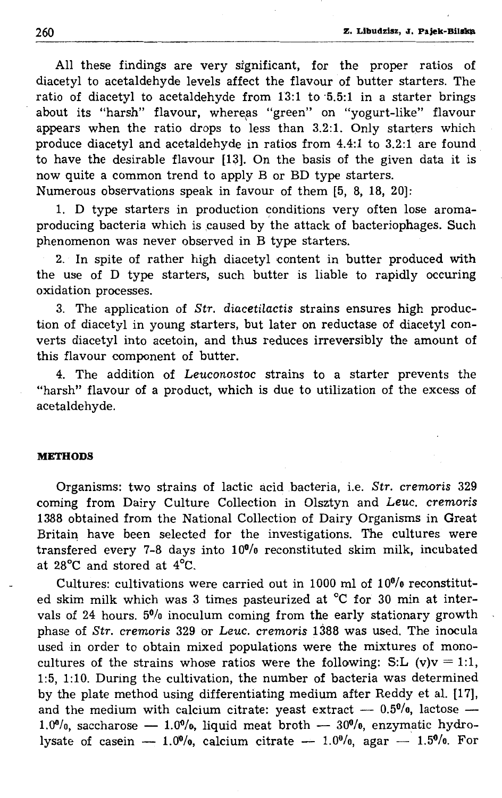All these findings are very significant, for the proper ratios of diacetyl to acetaldehyde levels affect the flavour of butter starters. The ratio of diacetyl to acetaldehyde from 13:1 to 5.5:1 in a starter brings about its "harsh" flavour, whereas "green" on "yogurt-like" flavour appears when the ratio drops to less than 3.2:1. Only starters which produce diacetyl and acetaldehyde in ratios from 4.4:1 to 3.2:1 are found to have the desirable flavour [13]. On the basis of the given data it is now quite a common trend to apply B or BD type starters. Numerous observations speak in favour of them [5, 8, 18, 20]:

1. D type starters in production conditions very often lose aromaproducing bacteria which is caused by the attack of bacteriophages. Such  $n$  phenomenon was never observed in B type starters.

2. In spite of rather high diacetyl content in butter produced with the use of D type starters, such butter is liable to rapidly occuring oxidation processes.

3. The application of *Str. diacetilactis* strains ensures high production of diacetyl in young starters, but later on reductase of diacetyl converts diacetyl into acetoin, and thus reduces irreversibly the amount of this flavour component of butter.

4. The addition of Leuconostoc strains to a starter prevents the "harsh" flavour of a product, which is due to utilization of the excess of acetaldehyde.

## **METHODS**

Organisms: two strains of lactic acid baderia, i.e. *Str. cremoris* 329 coming from Dairy Culture Collection in Olsztyn and Leuc. *cremoris*  1388 obtained from the National Collection of Dairy Organisms in Great Britain have been selected for the investigations. The cultures were transfered every 7-8 days into 100/o reconstituted skim milk, incubated at 28°C and stored at 4°C.

Cultures: cultivations were carried out in 1000 ml of  $10<sup>0</sup>/0$  reconstituted skim milk which was 3 times pasteurized at °C for 30 min at intervals of 24 hours. 50/o inoculum coming from the early stationary growth phase of *Str. cremoris* 329 or Leuc. *cremoris* 1388 was used. The inocula used in order to obtain mixed populations were the mixtures of monocultures of the strains whose ratios were the following: S:L (v)v = 1:1, 1:5, 1:10. During the cultivation, the number of bacteria was determined by the plate method using differentiating medium after Reddy et al. [17], and the medium with calcium citrate: yeast extract  $-$  0.5%, lactose  $-$ 1.0%, saccharose  $-$  1.0%, liquid meat broth  $-$  30%, enzymatic hydrolysate of casein  $- 1.0\%,$  calcium citrate  $- 1.0\%,$  agar  $- 1.5\%,$  For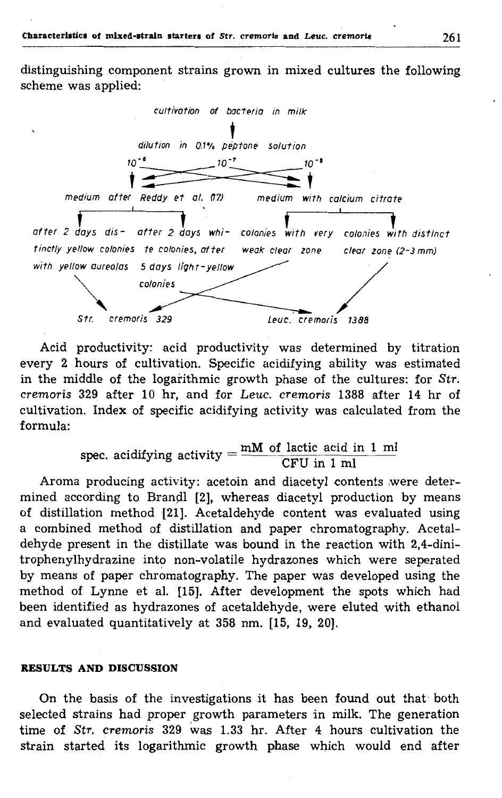distinguishing component strains grown in mixed cultures the following scheme was applied:



Acid productivity: acid productivity was determined by titration every 2 hours of cultivation. Specific acidifying ability was estimated in the middle of the logarithmic growth phase of the cultures: for *Str. cremoris* 329 after 10 hr, and for *Leuc. cremoris* 1388 after 14 hr of cultivation. Index of specific acidifying activity was calculated from the formula:

spec. acidifying activity  $=$   $\frac{mM \text{ of } \text{lactic } \text{acid} \text{ in } 1 \text{ ml}}{\text{CFU in } 1 \text{ ml}}$ 

Aroma producing activity: acetoin and diacetyl contents were determined according to Brandl [2], whereas diacetyl production by means of distillation method [21]. Acetaldehyde content was evaluated using a combined method of distillation and paper chromatography. Acetaldehyde present in the distillate was bound in the reaction with 2,4-dinitrophenylhydrazine into non-volatile hydrazones which were seperated by means of paper chromatography. The paper was developed using the method of Lynne et al. [15]. After development the spots which had been identified as hydrazones of acetaldehyde, were eluted with ethanol and evaluated quantitatively at 358 nm. [15, 19, 20].

### **RESULTS AND DISCUSSION**

On the basis of the investigations it has been found out that both selected strains had proper growth parameters in milk. The generation time of *Str. cremoris* 329 was 1.33 hr. After 4 hours cultivation the strain started its logarithmic growth phase which would end after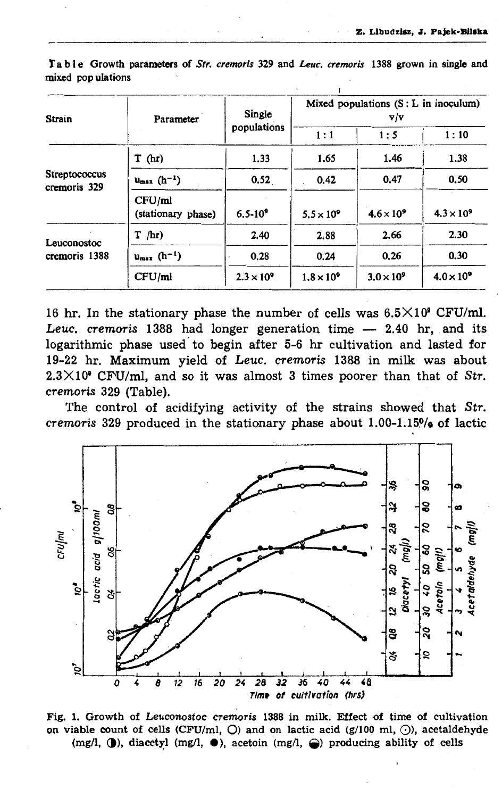| <b>Strain</b>                 | Parameter                    | Single<br>populations | Mixed populations $(S: L$ in inoculum)<br>v/v |                   |                   |
|-------------------------------|------------------------------|-----------------------|-----------------------------------------------|-------------------|-------------------|
|                               |                              |                       | 1:1                                           | 1:5               | 1:10              |
| Streptococcus<br>cremoris 329 | T(hr)                        | 1.33                  | 1.65                                          | 1.46              | 1.38              |
|                               | $u_{max}$ $(h^{-1})$         | 0.52                  | 0.42                                          | 0.47              | 0.50              |
|                               | CFU/ml<br>(stationary phase) | $6.5 - 10^{9}$        | $5.5 \times 10^9$                             | $4.6 \times 10^9$ | $4.3 \times 10^9$ |
| Leuconostoc<br>cremoris 1388  | $T$ /hr)                     | 2.40                  | 2.88                                          | 2.66              | 2.30              |
|                               | $u_{max}$ $(h^{-1})$         | 0.28                  | 0.24                                          | 0.26              | 0.30              |
|                               | CFU/ml                       | $2.3 \times 10^{9}$   | $1.8 \times 10^9$                             | $3.0 \times 10^9$ | $4.0 \times 10^9$ |

Table Growth parameters of Str. cremoris 329 and Leuc. cremoris 1388 grown in single and mixed pop ulations

16 hr. In the stationary phase the number of cells was  $6.5 \times 10^9$  CFU/ml. Leuc. cremoris 1388 had longer generation time  $-2.40$  hr, and its logarithmic phase used to begin after 5-6 hr cultivation and lasted for 19-22 hr. Maximum yield of Leuc. cremoris 1388 in milk was about  $2.3 \times 10^6$  CFU/ml, and so it was almost 3 times poorer than that of Str. cremoris 329 (Table).

The control of acidifying activity of the strains showed that Str. cremoris 329 produced in the stationary phase about 1.00-1.15% of lactic



Fig. 1. Growth of Leuconostoc cremoris 1388 in milk. Effect of time of cultivation on viable count of cells (CFU/ml,  $O$ ) and on lactic acid (g/100 ml,  $O$ ), acetaldehyde (mg/l,  $\langle \rangle$ ), diacetyl (mg/l,  $\langle \rangle$ ), acetoin (mg/l,  $\langle \rangle$ ) producing ability of cells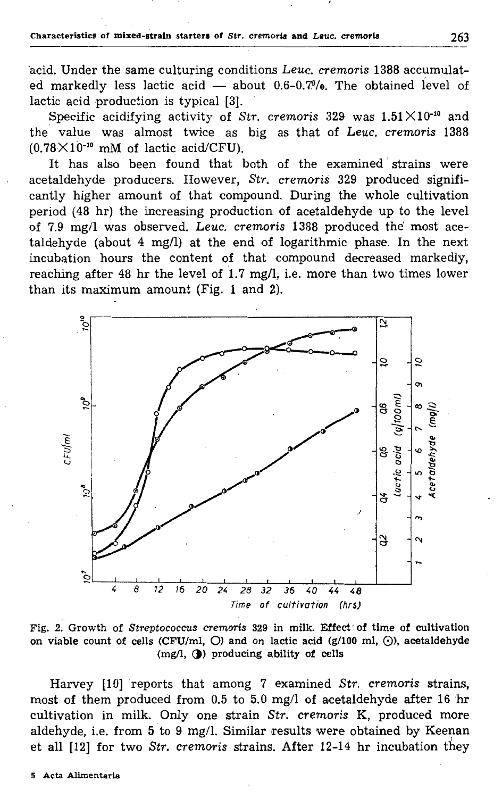acid. Under the same culturing conditions Leuc. cremoris 1388 accumulated markedly less lactic acid - about 0.6-0.7%. The obtained level of lactic acid production is typical [3].

Specific acidifying activity of Str. cremoris 329 was  $1.51 \times 10^{-10}$  and the value was almost twice as big as that of Leuc. cremoris 1388  $(0.78 \times 10^{-10}$  mM of lactic acid/CFU).

It has also been found that both of the examined strains were acetaldehyde producers. However, Str. cremoris 329 produced significantly higher amount of that compound. During the whole cultivation period (48 hr) the increasing production of acetaldehyde up to the level of 7.9 mg/l was observed. Leuc. cremoris 1388 produced the most acetaldehyde (about 4 mg/l) at the end of logarithmic phase. In the next incubation hours the content of that compound decreased markedly, reaching after 48 hr the level of 1.7 mg/l, i.e. more than two times lower than its maximum amount (Fig. 1 and 2).



Fig. 2. Growth of Streptococcus cremoris 329 in milk. Effect of time of cultivation on viable count of cells (CFU/ml,  $O$ ) and on lactic acid (g/100 ml,  $O$ ), acetaldehyde (mg/l, (b) producing ability of cells

Harvey [10] reports that among 7 examined Str. cremoris strains, most of them produced from 0.5 to 5.0 mg/l of acetaldehyde after 16 hr cultivation in milk. Only one strain Str. cremoris K, produced more aldehyde, i.e. from 5 to 9 mg/l. Similar results were obtained by Keenan et all [12] for two Str. cremoris strains. After 12-14 hr incubation they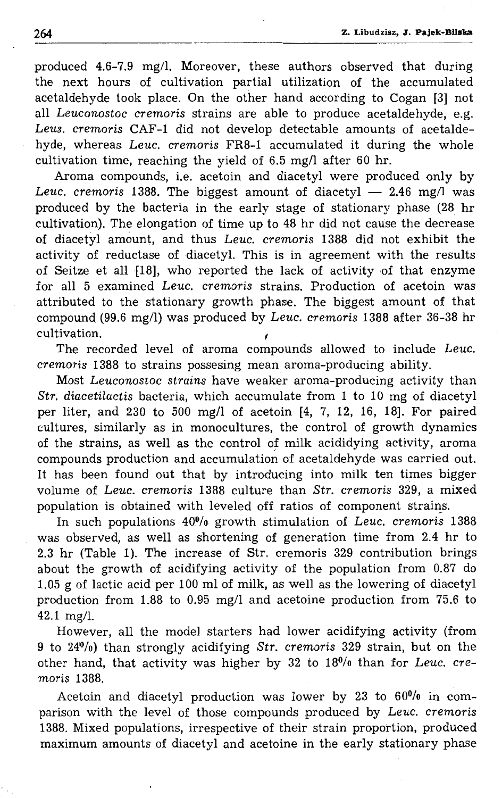produced 4.6-7.9 mg/1. Moreover, these authors observed that during the next hours of cultivation partial utilization of the accumulated acetaldehyde took place. On the other hand according to Cogan [3] not all *Leuconostoc cremoris* strains are able to produce acetaldehyde, e.g. *Leus. cremoris* CAF-1 did not develop detectable amounts of acetaldehyde, whereas *Leuc. cremoris* FR8-1 accumulated it during the whole cultivation time, reaching the yield of 6.5 mg/1 after 60 hr.

Aroma compounds, i.e. acetoin and diacetyl were produced only by *Leuc. cremoris* 1388. The biggest amount of diacetyl - 2.46 mg/l was produced by the bacteria in the early stage of stationary phase (28 hr cultivation). The elongation of time up to 48 hr did not cause the decrease of diacetyl amount, and thus *Leuc. cremoris* 1388 did not exhibit the activity of reductase of diacetyl. This is in agreement with the results of Seitze et all [18], who reported the lack of activity of that enzyme for all 5 examined *Leuc. cremoris* strains. Production of acetoin was attributed to the stationary growth phase. The biggest amount of that compound. (99.6 mg/1) was produced by *Leuc. cremoris* 1388 after 36-38 hr cultivation. *(* 

The recorded level of aroma compounds allowed to include *Leuc. cremoris* 1388 to strains possesing mean aroma-producing ability.

Most *Leuconostoc strains* have weaker aroma-producing activity than *Str. diacetilactis* bacteria, which accumulate from 1 to 10 mg of diacetyl per liter, and 230 to 500 mg/1 of acetoin [4, 7, 12, 16, 18]. For paired cultures, similarly as in monocultures, the control of growth dynamics of the strains, as well as the control *ot* milk acididying activity, aroma compounds production and accumulation of acetaldehyde was carried out. lt has been found out that by introducing into milk ten times bigger volume of *Leuc. cremoris* 1388 culture than *Str. cremoris* 329, a mixed population is obtained with leveled off ratios of component strains.

In such populations  $40\%$  growth stimulation of *Leuc. cremoris* 1388 was observed, as well as shortening of generation time from 2.4 hr to 2.3 hr (Table 1). The increase of Str. cremoris 329 contribution brings about the growth of acidifying activity of the population from 0.87 do 1.05 g of lactic acid per 100 ml of milk, as well as the lowering of diacetyl production from 1.88 to 0.95 mg/1 and acetoine production from 75.6 to 42.1 mg/1.

However, all the model starters had lower acidifying activity (from 9 to 240/o) than strongly acidifying *Str. cremoris* 329 strain, but on the other hand, that activity was higher by 32 to 180/o than for *Leuc. cremoris* 1388.

Acetoin and diacetyl production was lower by 23 to  $60<sup>0</sup>/0$  in comparison with the level of those compounds produced by *Leuc. cremoris* 1388. Mixed populations, irrespective of their strain proportion, produced maximum amounts of diacetyl and acetoine in the early stationary phase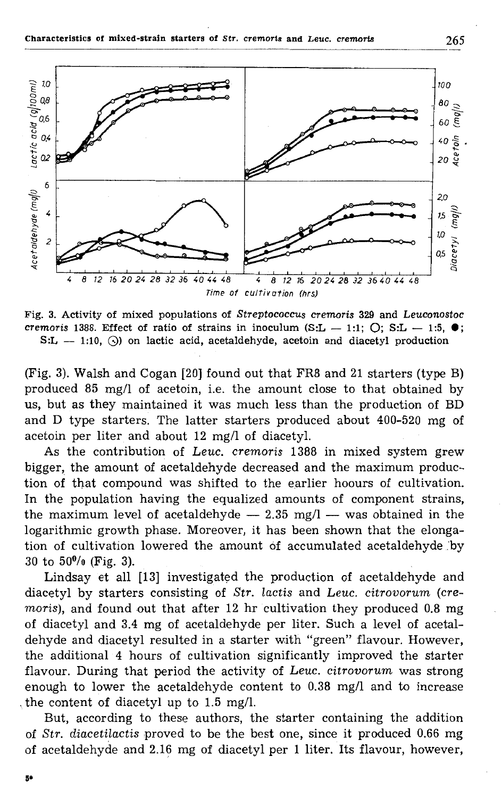

Fig. **3.** Activity of mixed populations of *Streptococcus cremoris* 329 and *Leuconostoc cremoris* 1388. Effect of ratio of strains in inoculum (S:L  $-$  1:1;  $\bigcirc$ ; S:L  $-$  1:5,  $\bullet$ ;  $S:L - 1:10$ , (b) on lactic acid, acetaldehyde, acetoin and diacetyl production

(Fig. 3). Walsh and Cogan [20] found out that FR8 and 21 starters (type B) produced 85 mg/1 of acetoin, i.e. the amount close to that obtained by us, but as they maintained it was much less than the production of BD and D type starters. The latter starters produced about 400-520 mg of acetoin per liter and about 12 mg/1 of diacetyl.

As the contribution of *Leuc. cremoris* 1388 in mixed system grew bigger, the amount of acetaldehyde decreased and the maximum production of that compound was shifted to the earlier hoours of cultivation. In the population having the equalized amounts of component strains, the maximum level of acetaldehyde  $-$  2.35 mg/l  $-$  was obtained in the logarithmic growth phase. Moreover, it has been shown that the elongation of cultivation lowered the amount óf accumulated acetaldehyde .'by  $30$  to  $50\%$  (Fig. 3).

Lindsay et all [13] investigatęd the production of acetaldehyde and diacetyl by starters consisting of *Str. lactis* and *Leuc. citrovorum* (cre*moris),* and found out that after 12 hr cultivation they produced 0.8 mg of diacetyl and 3.4 mg of acetaldehyde per liter. Such a level of acetaldehyde and diacetyl resulted in a starter with "green" flavour. However, the additional 4 hours of cultivation significantly improved the starter flavour. During that period the activity of *Leuc. citrovorum* was strong enough to lower the acetaldehyde content to 0.38 mg/l and to increase . the content of diacetyl up to 1.5 mg/1.

But, according to these authors, the starter containing the addition of *Str. diaceti\_lactis* proved to be the best one, since it produced 0.66 mg of acetaldehyde and 2.16 mg of diacetyl per 1 liter. lts flavour, however,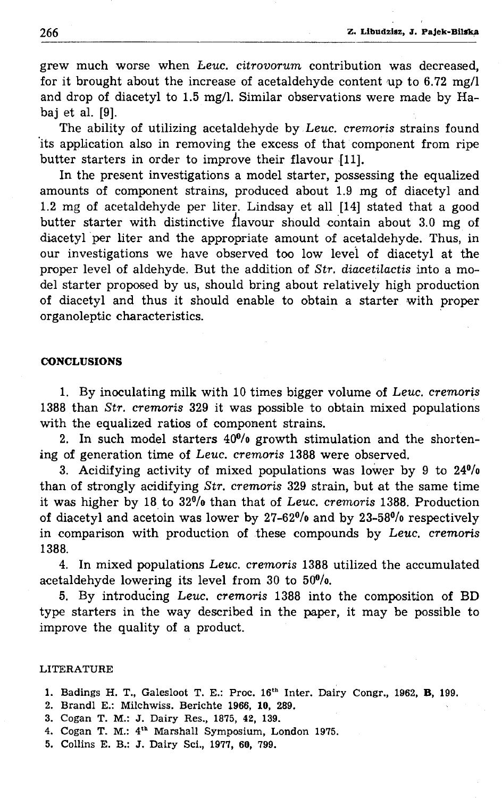grew much worse when *Leuc. citrovorum* contribution was decreased, for it brought about the increase of acetaldehyde content up to 6. 72 mg/1 and drop of diacetyl to 1.5 mg/1. Similar observations were made by Habaj et al. **[9].** 

The ability of utilizing acetaldehyde by Leuc. *cremoris* strains found 'its application also *in* removing the excess of that component from ripe butter starters **in** order to improve their flavour [11].

In the present investigations a model starter, possessing the equalized amounts of component strains, produced about 1.9 mg of diacetyl and 1.2 mg of acetaldehyde per liter. Lindsay et all [14] stated that a good butter starter with distinctive flavour should contain about 3.0 mg of diacetyl per liter and the appropriate amount of acetaldehyde. Thus, in our investigations we have observed too low levei of diacetyl at the proper level of aldehyde. But the addition of *Str. diacetilactis* into a model starter proposed by us, should bring about relatively high production of diacetyl and thus it should enable to obtain a starter with proper organoleptic characteristics.

# **CONCLUSIONS**

1. By inoculating milk with 10 times bigger volume of Leuc. cremoris 1388 than *Str. cremoris* 329 it was possible to obtain mixed populations with the equalized ratios of component strains.

2. In such model starters  $40\%$  growth stimulation and the shortening of generation time of Leuc. *cremoris* 1388 were observed.

3. Acidifying activity of mixed populations was lower by 9 to  $24\frac{0}{0}$ than of strongly acidifying *Str. cremoris* 329 strain, but at the same time it was higher by 18. to 320/o than that of Leuc. *cremoris* 1388. Production of diacetyl and acetoin was lower by 27-62°/o and by 23-580/o respectively in comparison with production of these compounds by Leuc. *cremoris*  1388.

4. In mixed populations Leuc. *cremoris* 1388 utilized the accumulated acetaldehyde lowering its level from  $30$  to  $50<sup>0</sup>/0$ .

5. By introduĆing Leuc. *cremoris* 1388 into the composition of BD type starters in the way described in the paper, it may be possible to improve the quality of a product.

### LITERATURE

- 1. Badings H. T., Galesloot T. E.: Proc. 16t " Inter. Dairy Congr., 1962, **B,** 199.
- 2. Brand! E.: Milchwiss. Berichte l966, **10,** 289.
- 3. Cogan T. M.: J. Dairy Res., 1875, 42, 139.
- 4. Cogan T. M.: 4th Marshall Symposium, London 1975.
- 5. Collins E. B.: J. Dairy Sci., 1977, 60, 799.